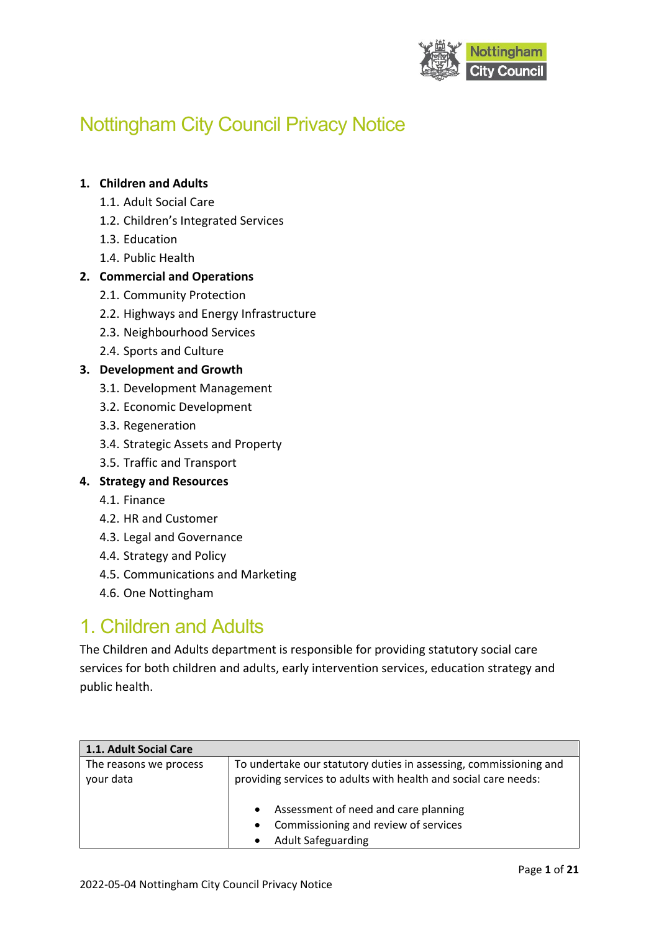

# Nottingham City Council Privacy Notice

#### **1. Children and Adults**

- 1.1. Adult Social Care
- 1.2. Children's Integrated Services
- 1.3. Education
- 1.4. Public Health

#### **2. Commercial and Operations**

- 2.1. Community Protection
- 2.2. Highways and Energy Infrastructure
- 2.3. Neighbourhood Services
- 2.4. Sports and Culture

#### **3. Development and Growth**

- 3.1. Development Management
- 3.2. Economic Development
- 3.3. Regeneration
- 3.4. Strategic Assets and Property
- 3.5. Traffic and Transport

#### **4. Strategy and Resources**

- 4.1. Finance
- 4.2. HR and Customer
- 4.3. Legal and Governance
- 4.4. Strategy and Policy
- 4.5. Communications and Marketing
- 4.6. One Nottingham

### 1. Children and Adults

The Children and Adults department is responsible for providing statutory social care services for both children and adults, early intervention services, education strategy and public health.

| 1.1. Adult Social Care              |                                                                                                                                                                                                                                                                                          |
|-------------------------------------|------------------------------------------------------------------------------------------------------------------------------------------------------------------------------------------------------------------------------------------------------------------------------------------|
| The reasons we process<br>your data | To undertake our statutory duties in assessing, commissioning and<br>providing services to adults with health and social care needs:<br>Assessment of need and care planning<br>$\bullet$<br>Commissioning and review of services<br>$\bullet$<br><b>Adult Safeguarding</b><br>$\bullet$ |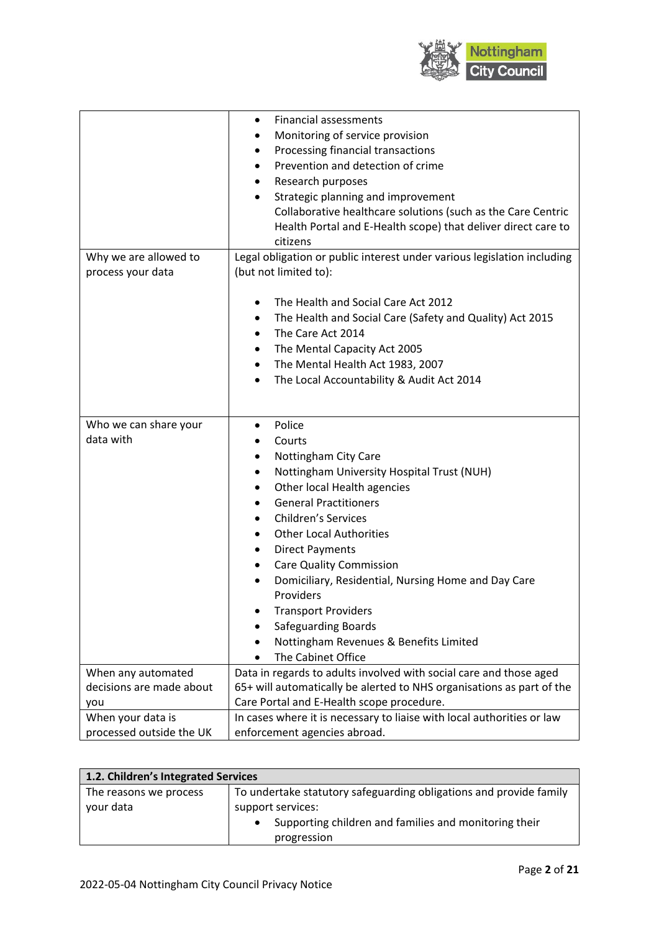

| Monitoring of service provision<br>Processing financial transactions<br>٠<br>Prevention and detection of crime<br>٠ |
|---------------------------------------------------------------------------------------------------------------------|
|                                                                                                                     |
|                                                                                                                     |
|                                                                                                                     |
| Research purposes<br>٠                                                                                              |
| Strategic planning and improvement<br>$\bullet$                                                                     |
| Collaborative healthcare solutions (such as the Care Centric                                                        |
| Health Portal and E-Health scope) that deliver direct care to                                                       |
| citizens                                                                                                            |
| Legal obligation or public interest under various legislation including<br>Why we are allowed to                    |
| (but not limited to):<br>process your data                                                                          |
|                                                                                                                     |
| The Health and Social Care Act 2012<br>$\bullet$                                                                    |
| The Health and Social Care (Safety and Quality) Act 2015                                                            |
| The Care Act 2014<br>$\bullet$                                                                                      |
| The Mental Capacity Act 2005                                                                                        |
| The Mental Health Act 1983, 2007<br>٠                                                                               |
| The Local Accountability & Audit Act 2014<br>$\bullet$                                                              |
|                                                                                                                     |
|                                                                                                                     |
| Who we can share your<br>Police<br>$\bullet$                                                                        |
| data with<br>Courts                                                                                                 |
| Nottingham City Care                                                                                                |
| Nottingham University Hospital Trust (NUH)<br>٠                                                                     |
| Other local Health agencies<br>٠                                                                                    |
| <b>General Practitioners</b>                                                                                        |
| <b>Children's Services</b>                                                                                          |
| <b>Other Local Authorities</b>                                                                                      |
| <b>Direct Payments</b><br>٠                                                                                         |
| <b>Care Quality Commission</b><br>٠                                                                                 |
| Domiciliary, Residential, Nursing Home and Day Care<br>$\bullet$                                                    |
| Providers                                                                                                           |
| <b>Transport Providers</b>                                                                                          |
| <b>Safeguarding Boards</b>                                                                                          |
| Nottingham Revenues & Benefits Limited                                                                              |
| The Cabinet Office                                                                                                  |
| Data in regards to adults involved with social care and those aged<br>When any automated                            |
| decisions are made about<br>65+ will automatically be alerted to NHS organisations as part of the                   |
| Care Portal and E-Health scope procedure.<br>you                                                                    |
| When your data is<br>In cases where it is necessary to liaise with local authorities or law                         |
| processed outside the UK<br>enforcement agencies abroad.                                                            |

| 1.2. Children's Integrated Services |                                                                    |  |
|-------------------------------------|--------------------------------------------------------------------|--|
| The reasons we process              | To undertake statutory safeguarding obligations and provide family |  |
| your data                           | support services:                                                  |  |
|                                     | Supporting children and families and monitoring their              |  |
|                                     | progression                                                        |  |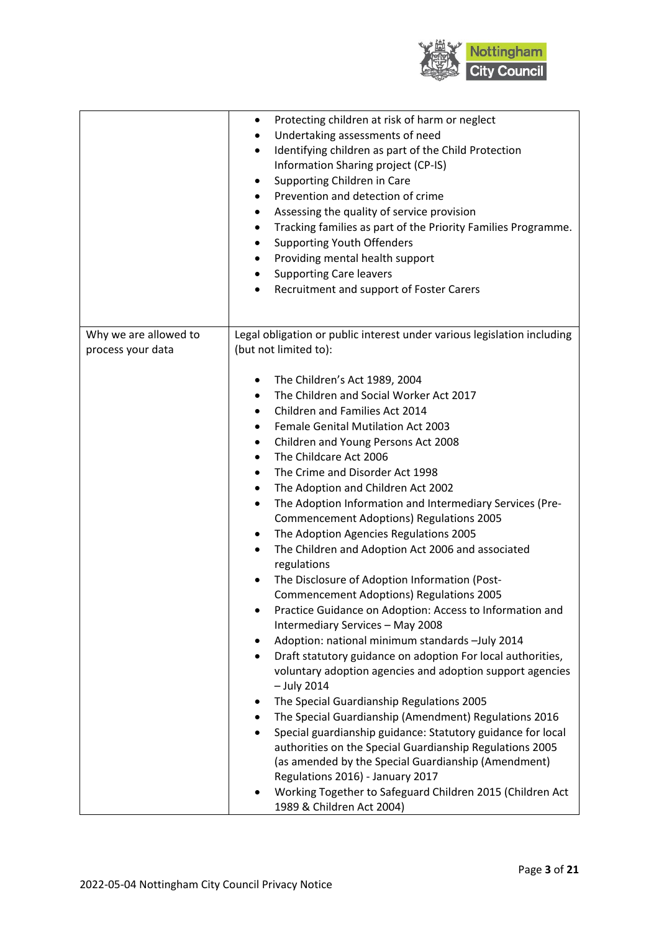

|                                            | Protecting children at risk of harm or neglect<br>Undertaking assessments of need<br>Identifying children as part of the Child Protection<br>$\bullet$<br>Information Sharing project (CP-IS)<br>Supporting Children in Care<br>٠<br>Prevention and detection of crime<br>٠<br>Assessing the quality of service provision<br>Tracking families as part of the Priority Families Programme.<br><b>Supporting Youth Offenders</b><br>Providing mental health support<br>٠<br><b>Supporting Care leavers</b><br>٠<br>Recruitment and support of Foster Carers<br>٠                                                                                                                                                                                                                                                                                                                                                                                                                                                                                                                                                                                                                                                                                                                                                                                                                                                                                                      |
|--------------------------------------------|----------------------------------------------------------------------------------------------------------------------------------------------------------------------------------------------------------------------------------------------------------------------------------------------------------------------------------------------------------------------------------------------------------------------------------------------------------------------------------------------------------------------------------------------------------------------------------------------------------------------------------------------------------------------------------------------------------------------------------------------------------------------------------------------------------------------------------------------------------------------------------------------------------------------------------------------------------------------------------------------------------------------------------------------------------------------------------------------------------------------------------------------------------------------------------------------------------------------------------------------------------------------------------------------------------------------------------------------------------------------------------------------------------------------------------------------------------------------|
| Why we are allowed to<br>process your data | Legal obligation or public interest under various legislation including<br>(but not limited to):                                                                                                                                                                                                                                                                                                                                                                                                                                                                                                                                                                                                                                                                                                                                                                                                                                                                                                                                                                                                                                                                                                                                                                                                                                                                                                                                                                     |
|                                            | The Children's Act 1989, 2004<br>The Children and Social Worker Act 2017<br>$\bullet$<br>Children and Families Act 2014<br>٠<br>Female Genital Mutilation Act 2003<br>Children and Young Persons Act 2008<br>٠<br>The Childcare Act 2006<br>٠<br>The Crime and Disorder Act 1998<br>٠<br>The Adoption and Children Act 2002<br>٠<br>The Adoption Information and Intermediary Services (Pre-<br>$\bullet$<br><b>Commencement Adoptions) Regulations 2005</b><br>The Adoption Agencies Regulations 2005<br>٠<br>The Children and Adoption Act 2006 and associated<br>$\bullet$<br>regulations<br>The Disclosure of Adoption Information (Post-<br>٠<br><b>Commencement Adoptions) Regulations 2005</b><br>Practice Guidance on Adoption: Access to Information and<br>Intermediary Services - May 2008<br>Adoption: national minimum standards -July 2014<br>٠<br>Draft statutory guidance on adoption For local authorities,<br>$\bullet$<br>voluntary adoption agencies and adoption support agencies<br>$-$ July 2014<br>The Special Guardianship Regulations 2005<br>٠<br>The Special Guardianship (Amendment) Regulations 2016<br>٠<br>Special guardianship guidance: Statutory guidance for local<br>$\bullet$<br>authorities on the Special Guardianship Regulations 2005<br>(as amended by the Special Guardianship (Amendment)<br>Regulations 2016) - January 2017<br>Working Together to Safeguard Children 2015 (Children Act<br>1989 & Children Act 2004) |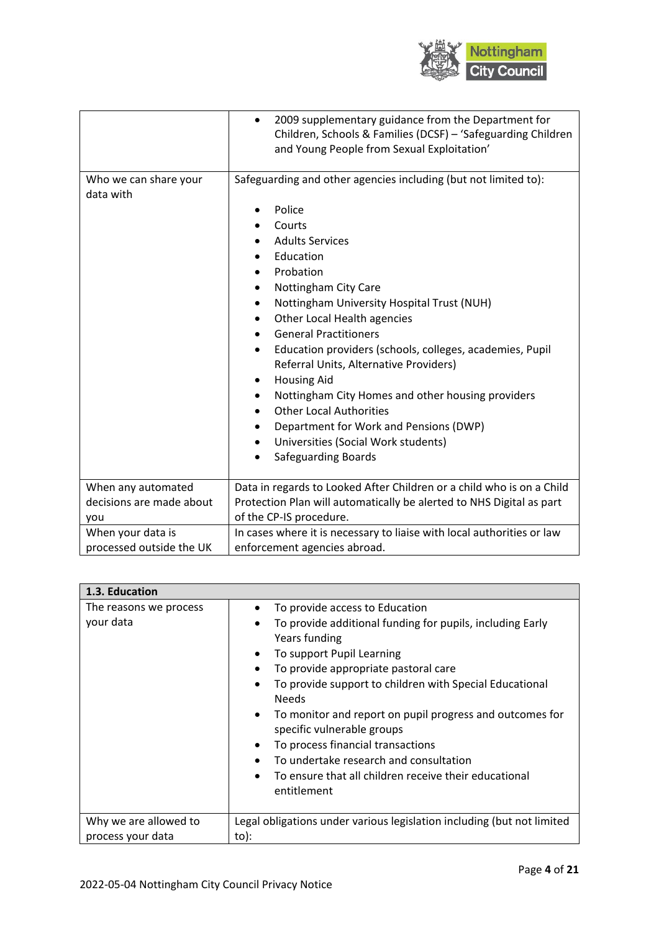

|                                    | 2009 supplementary guidance from the Department for<br>٠<br>Children, Schools & Families (DCSF) - 'Safeguarding Children<br>and Young People from Sexual Exploitation'                                                                                                                                                                                                                                                                                                                                                                                                                                                                     |
|------------------------------------|--------------------------------------------------------------------------------------------------------------------------------------------------------------------------------------------------------------------------------------------------------------------------------------------------------------------------------------------------------------------------------------------------------------------------------------------------------------------------------------------------------------------------------------------------------------------------------------------------------------------------------------------|
| Who we can share your<br>data with | Safeguarding and other agencies including (but not limited to):<br>Police<br>Courts<br><b>Adults Services</b><br>Education<br>Probation<br>Nottingham City Care<br>Nottingham University Hospital Trust (NUH)<br>٠<br>Other Local Health agencies<br>٠<br><b>General Practitioners</b><br>Education providers (schools, colleges, academies, Pupil<br>٠<br>Referral Units, Alternative Providers)<br><b>Housing Aid</b><br>$\bullet$<br>Nottingham City Homes and other housing providers<br><b>Other Local Authorities</b><br>Department for Work and Pensions (DWP)<br>Universities (Social Work students)<br><b>Safeguarding Boards</b> |
| When any automated                 | Data in regards to Looked After Children or a child who is on a Child                                                                                                                                                                                                                                                                                                                                                                                                                                                                                                                                                                      |
| decisions are made about           | Protection Plan will automatically be alerted to NHS Digital as part                                                                                                                                                                                                                                                                                                                                                                                                                                                                                                                                                                       |
| you                                | of the CP-IS procedure.                                                                                                                                                                                                                                                                                                                                                                                                                                                                                                                                                                                                                    |
| When your data is                  | In cases where it is necessary to liaise with local authorities or law                                                                                                                                                                                                                                                                                                                                                                                                                                                                                                                                                                     |
| processed outside the UK           | enforcement agencies abroad.                                                                                                                                                                                                                                                                                                                                                                                                                                                                                                                                                                                                               |

| 1.3. Education                             |                                                                                                                                                                                                                                                                                                                                                                                                                                                                                                                                                                                |
|--------------------------------------------|--------------------------------------------------------------------------------------------------------------------------------------------------------------------------------------------------------------------------------------------------------------------------------------------------------------------------------------------------------------------------------------------------------------------------------------------------------------------------------------------------------------------------------------------------------------------------------|
| The reasons we process<br>your data        | To provide access to Education<br>To provide additional funding for pupils, including Early<br>Years funding<br>To support Pupil Learning<br>$\bullet$<br>To provide appropriate pastoral care<br>$\bullet$<br>To provide support to children with Special Educational<br><b>Needs</b><br>To monitor and report on pupil progress and outcomes for<br>$\bullet$<br>specific vulnerable groups<br>To process financial transactions<br>$\bullet$<br>To undertake research and consultation<br>To ensure that all children receive their educational<br>$\bullet$<br>entitlement |
| Why we are allowed to<br>process your data | Legal obligations under various legislation including (but not limited<br>to):                                                                                                                                                                                                                                                                                                                                                                                                                                                                                                 |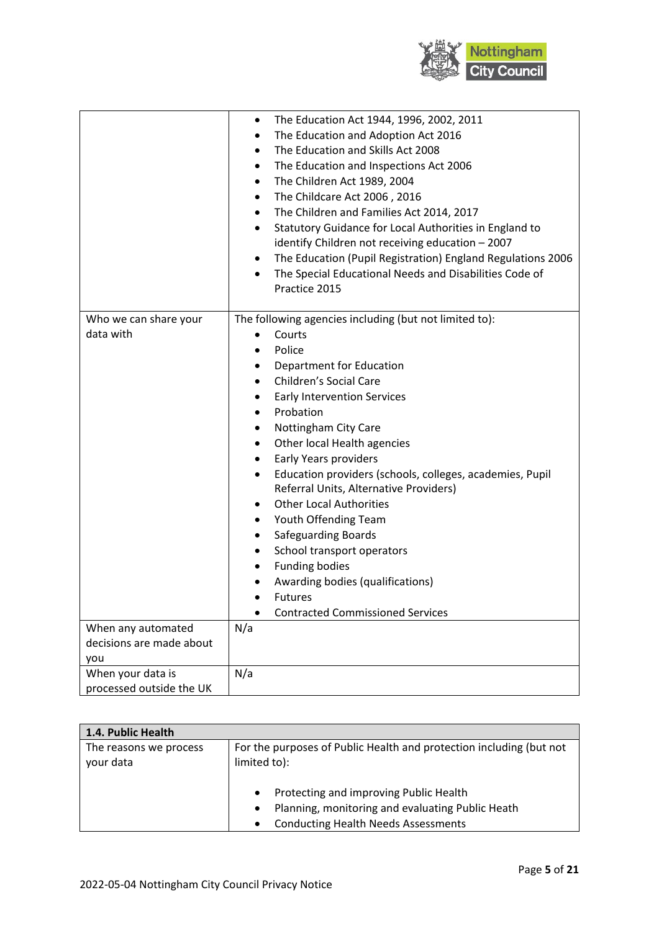

|                          | The Education Act 1944, 1996, 2002, 2011<br>٠                            |
|--------------------------|--------------------------------------------------------------------------|
|                          | The Education and Adoption Act 2016                                      |
|                          | The Education and Skills Act 2008<br>$\bullet$                           |
|                          | The Education and Inspections Act 2006<br>٠                              |
|                          | The Children Act 1989, 2004<br>$\bullet$                                 |
|                          | The Childcare Act 2006, 2016<br>٠                                        |
|                          | The Children and Families Act 2014, 2017<br>٠                            |
|                          | Statutory Guidance for Local Authorities in England to<br>$\bullet$      |
|                          | identify Children not receiving education - 2007                         |
|                          | The Education (Pupil Registration) England Regulations 2006<br>$\bullet$ |
|                          | The Special Educational Needs and Disabilities Code of<br>$\bullet$      |
|                          | Practice 2015                                                            |
|                          |                                                                          |
| Who we can share your    | The following agencies including (but not limited to):                   |
| data with                | Courts                                                                   |
|                          | Police                                                                   |
|                          | Department for Education<br>٠                                            |
|                          | Children's Social Care<br>$\bullet$                                      |
|                          | <b>Early Intervention Services</b><br>٠                                  |
|                          | Probation<br>$\bullet$                                                   |
|                          | Nottingham City Care                                                     |
|                          | Other local Health agencies<br>٠                                         |
|                          | Early Years providers<br>٠                                               |
|                          | Education providers (schools, colleges, academies, Pupil<br>٠            |
|                          | Referral Units, Alternative Providers)                                   |
|                          | <b>Other Local Authorities</b><br>٠                                      |
|                          | Youth Offending Team<br>٠                                                |
|                          | <b>Safeguarding Boards</b><br>٠                                          |
|                          | School transport operators<br>٠                                          |
|                          | <b>Funding bodies</b><br>٠                                               |
|                          | Awarding bodies (qualifications)                                         |
|                          | <b>Futures</b>                                                           |
|                          | <b>Contracted Commissioned Services</b>                                  |
| When any automated       | N/a                                                                      |
| decisions are made about |                                                                          |
| you                      |                                                                          |
| When your data is        | N/a                                                                      |
| processed outside the UK |                                                                          |

| 1.4. Public Health                  |                                                                                                                                                                                 |
|-------------------------------------|---------------------------------------------------------------------------------------------------------------------------------------------------------------------------------|
| The reasons we process<br>your data | For the purposes of Public Health and protection including (but not<br>limited to):                                                                                             |
|                                     | Protecting and improving Public Health<br>$\bullet$<br>Planning, monitoring and evaluating Public Heath<br>$\bullet$<br><b>Conducting Health Needs Assessments</b><br>$\bullet$ |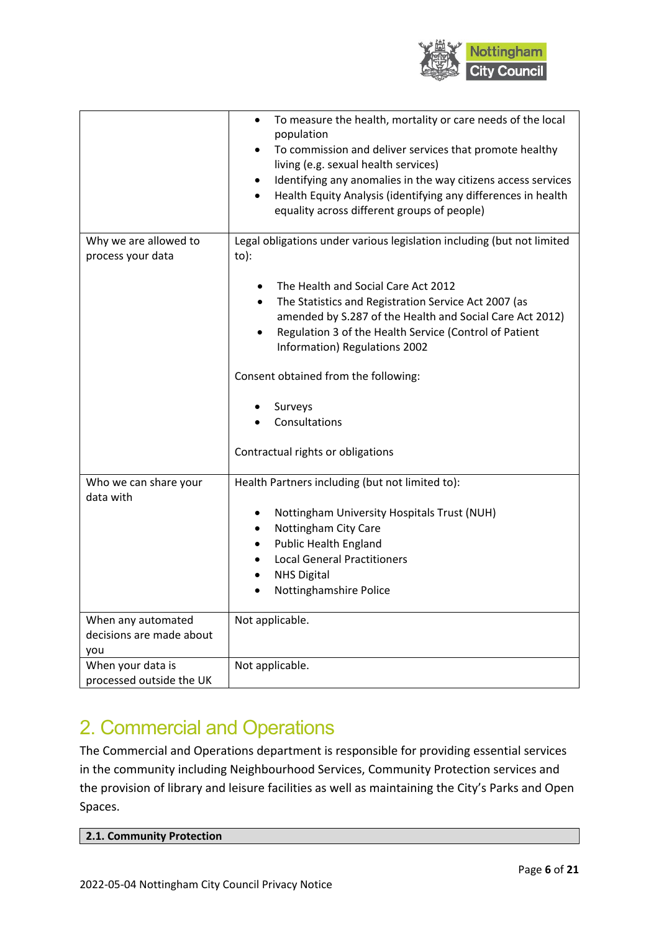

|                                                       | To measure the health, mortality or care needs of the local<br>$\bullet$<br>population<br>To commission and deliver services that promote healthy<br>$\bullet$<br>living (e.g. sexual health services)<br>Identifying any anomalies in the way citizens access services<br>$\bullet$<br>Health Equity Analysis (identifying any differences in health<br>$\bullet$<br>equality across different groups of people) |
|-------------------------------------------------------|-------------------------------------------------------------------------------------------------------------------------------------------------------------------------------------------------------------------------------------------------------------------------------------------------------------------------------------------------------------------------------------------------------------------|
| Why we are allowed to<br>process your data            | Legal obligations under various legislation including (but not limited<br>$to)$ :                                                                                                                                                                                                                                                                                                                                 |
|                                                       | The Health and Social Care Act 2012<br>$\bullet$<br>The Statistics and Registration Service Act 2007 (as<br>$\bullet$<br>amended by S.287 of the Health and Social Care Act 2012)<br>Regulation 3 of the Health Service (Control of Patient<br>$\bullet$<br>Information) Regulations 2002                                                                                                                         |
|                                                       | Consent obtained from the following:                                                                                                                                                                                                                                                                                                                                                                              |
|                                                       | Surveys<br>Consultations<br>Contractual rights or obligations                                                                                                                                                                                                                                                                                                                                                     |
|                                                       |                                                                                                                                                                                                                                                                                                                                                                                                                   |
| Who we can share your<br>data with                    | Health Partners including (but not limited to):                                                                                                                                                                                                                                                                                                                                                                   |
|                                                       | Nottingham University Hospitals Trust (NUH)<br>Nottingham City Care<br>٠<br><b>Public Health England</b><br>٠<br><b>Local General Practitioners</b><br><b>NHS Digital</b><br>$\bullet$<br>Nottinghamshire Police                                                                                                                                                                                                  |
| When any automated<br>decisions are made about<br>you | Not applicable.                                                                                                                                                                                                                                                                                                                                                                                                   |
| When your data is                                     | Not applicable.                                                                                                                                                                                                                                                                                                                                                                                                   |
| processed outside the UK                              |                                                                                                                                                                                                                                                                                                                                                                                                                   |

# 2. Commercial and Operations

The Commercial and Operations department is responsible for providing essential services in the community including Neighbourhood Services, Community Protection services and the provision of library and leisure facilities as well as maintaining the City's Parks and Open Spaces.

| 2.1. Community Protection |
|---------------------------|
|---------------------------|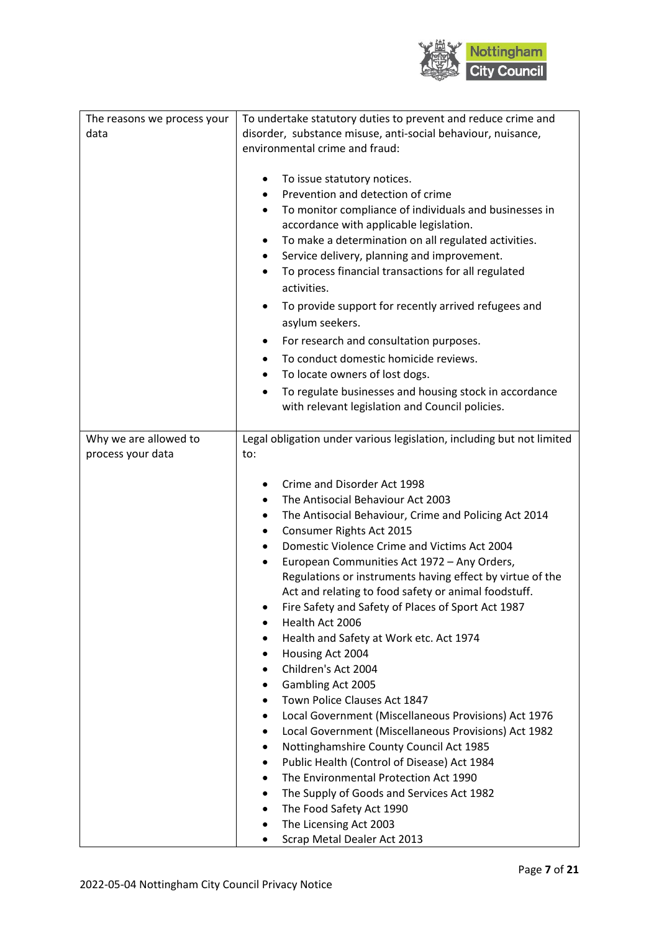

| Legal obligation under various legislation, including but not limited<br>Why we are allowed to<br>process your data<br>to:<br>Crime and Disorder Act 1998<br>The Antisocial Behaviour Act 2003<br>The Antisocial Behaviour, Crime and Policing Act 2014<br>٠<br>Consumer Rights Act 2015<br>Domestic Violence Crime and Victims Act 2004<br>European Communities Act 1972 - Any Orders,<br>$\bullet$<br>Regulations or instruments having effect by virtue of the<br>Act and relating to food safety or animal foodstuff.<br>Fire Safety and Safety of Places of Sport Act 1987<br>Health Act 2006<br>Health and Safety at Work etc. Act 1974<br>Housing Act 2004<br>Children's Act 2004<br>Gambling Act 2005<br>Town Police Clauses Act 1847<br>Local Government (Miscellaneous Provisions) Act 1976<br>Local Government (Miscellaneous Provisions) Act 1982<br>Nottinghamshire County Council Act 1985<br>Public Health (Control of Disease) Act 1984<br>The Environmental Protection Act 1990<br>The Supply of Goods and Services Act 1982<br>٠<br>The Food Safety Act 1990 | The reasons we process your<br>data | To undertake statutory duties to prevent and reduce crime and<br>disorder, substance misuse, anti-social behaviour, nuisance,<br>environmental crime and fraud:<br>To issue statutory notices.<br>Prevention and detection of crime<br>$\bullet$<br>To monitor compliance of individuals and businesses in<br>$\bullet$<br>accordance with applicable legislation.<br>To make a determination on all regulated activities.<br>٠<br>Service delivery, planning and improvement.<br>٠<br>To process financial transactions for all regulated<br>activities.<br>To provide support for recently arrived refugees and<br>asylum seekers.<br>For research and consultation purposes.<br>To conduct domestic homicide reviews.<br>To locate owners of lost dogs.<br>To regulate businesses and housing stock in accordance<br>with relevant legislation and Council policies. |
|--------------------------------------------------------------------------------------------------------------------------------------------------------------------------------------------------------------------------------------------------------------------------------------------------------------------------------------------------------------------------------------------------------------------------------------------------------------------------------------------------------------------------------------------------------------------------------------------------------------------------------------------------------------------------------------------------------------------------------------------------------------------------------------------------------------------------------------------------------------------------------------------------------------------------------------------------------------------------------------------------------------------------------------------------------------------------------|-------------------------------------|-------------------------------------------------------------------------------------------------------------------------------------------------------------------------------------------------------------------------------------------------------------------------------------------------------------------------------------------------------------------------------------------------------------------------------------------------------------------------------------------------------------------------------------------------------------------------------------------------------------------------------------------------------------------------------------------------------------------------------------------------------------------------------------------------------------------------------------------------------------------------|
| The Licensing Act 2003                                                                                                                                                                                                                                                                                                                                                                                                                                                                                                                                                                                                                                                                                                                                                                                                                                                                                                                                                                                                                                                         |                                     |                                                                                                                                                                                                                                                                                                                                                                                                                                                                                                                                                                                                                                                                                                                                                                                                                                                                         |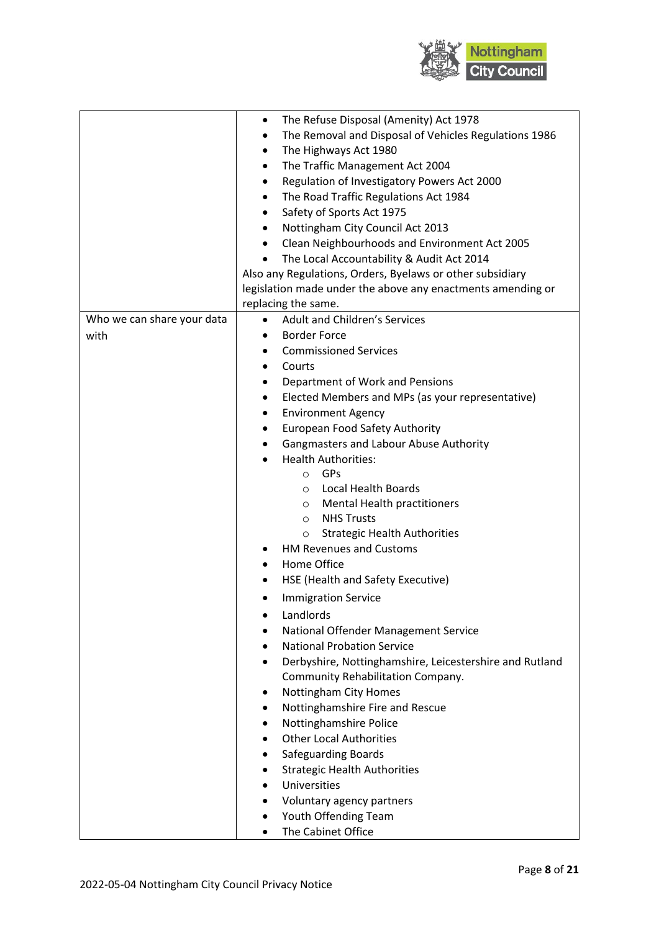

|                            | The Refuse Disposal (Amenity) Act 1978<br>٠                          |
|----------------------------|----------------------------------------------------------------------|
|                            | The Removal and Disposal of Vehicles Regulations 1986                |
|                            | The Highways Act 1980<br>$\bullet$                                   |
|                            | The Traffic Management Act 2004<br>٠                                 |
|                            | Regulation of Investigatory Powers Act 2000<br>٠                     |
|                            | The Road Traffic Regulations Act 1984<br>$\bullet$                   |
|                            | Safety of Sports Act 1975<br>٠                                       |
|                            |                                                                      |
|                            | Nottingham City Council Act 2013<br>$\bullet$                        |
|                            | Clean Neighbourhoods and Environment Act 2005<br>$\bullet$           |
|                            | The Local Accountability & Audit Act 2014                            |
|                            | Also any Regulations, Orders, Byelaws or other subsidiary            |
|                            | legislation made under the above any enactments amending or          |
|                            | replacing the same.                                                  |
| Who we can share your data | Adult and Children's Services<br>$\bullet$                           |
| with                       | <b>Border Force</b><br>$\bullet$                                     |
|                            | <b>Commissioned Services</b><br>$\bullet$                            |
|                            | Courts<br>$\bullet$                                                  |
|                            | Department of Work and Pensions<br>٠                                 |
|                            | Elected Members and MPs (as your representative)<br>$\bullet$        |
|                            | <b>Environment Agency</b><br>٠                                       |
|                            | European Food Safety Authority<br>$\bullet$                          |
|                            | Gangmasters and Labour Abuse Authority<br>٠                          |
|                            | <b>Health Authorities:</b>                                           |
|                            | GPs<br>$\circ$                                                       |
|                            | Local Health Boards<br>$\circ$                                       |
|                            | <b>Mental Health practitioners</b><br>$\circ$                        |
|                            | <b>NHS Trusts</b><br>$\circ$                                         |
|                            | <b>Strategic Health Authorities</b><br>$\circ$                       |
|                            | <b>HM Revenues and Customs</b>                                       |
|                            | Home Office                                                          |
|                            | HSE (Health and Safety Executive)                                    |
|                            | <b>Immigration Service</b>                                           |
|                            |                                                                      |
|                            | Landlords                                                            |
|                            | National Offender Management Service                                 |
|                            | <b>National Probation Service</b><br>$\bullet$                       |
|                            | Derbyshire, Nottinghamshire, Leicestershire and Rutland<br>$\bullet$ |
|                            | Community Rehabilitation Company.                                    |
|                            | Nottingham City Homes                                                |
|                            | Nottinghamshire Fire and Rescue<br>٠                                 |
|                            | Nottinghamshire Police                                               |
|                            | <b>Other Local Authorities</b>                                       |
|                            | <b>Safeguarding Boards</b><br>٠                                      |
|                            | <b>Strategic Health Authorities</b>                                  |
|                            | Universities                                                         |
|                            | Voluntary agency partners<br>٠                                       |
|                            | Youth Offending Team                                                 |
|                            | The Cabinet Office                                                   |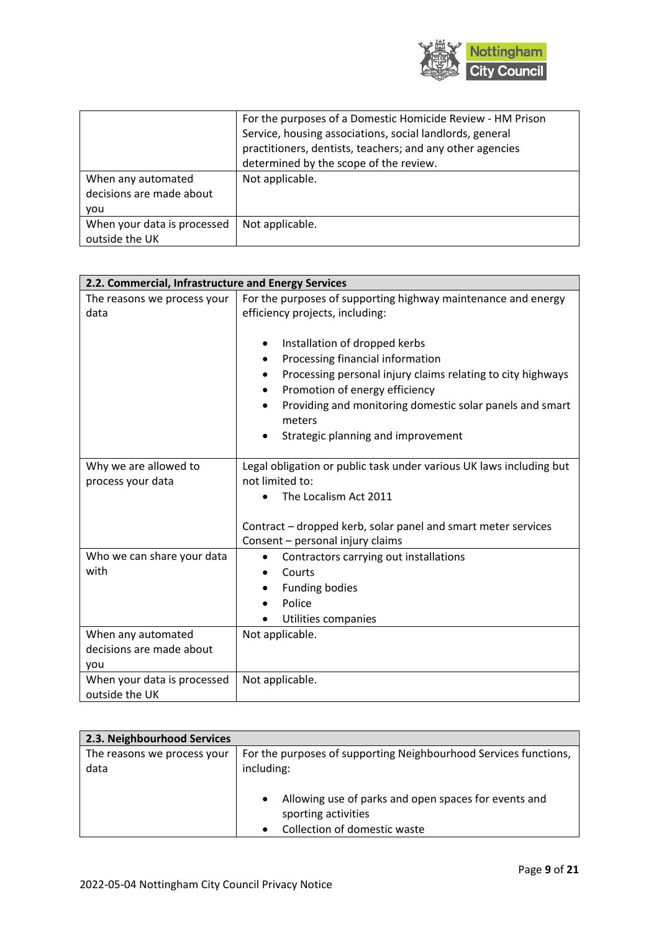

|                             | For the purposes of a Domestic Homicide Review - HM Prison<br>Service, housing associations, social landlords, general |
|-----------------------------|------------------------------------------------------------------------------------------------------------------------|
|                             | practitioners, dentists, teachers; and any other agencies                                                              |
|                             | determined by the scope of the review.                                                                                 |
| When any automated          | Not applicable.                                                                                                        |
| decisions are made about    |                                                                                                                        |
| vou                         |                                                                                                                        |
| When your data is processed | Not applicable.                                                                                                        |
| outside the UK              |                                                                                                                        |

| 2.2. Commercial, Infrastructure and Energy Services   |                                                                                                                                                                                                                                                                                     |  |
|-------------------------------------------------------|-------------------------------------------------------------------------------------------------------------------------------------------------------------------------------------------------------------------------------------------------------------------------------------|--|
| The reasons we process your                           | For the purposes of supporting highway maintenance and energy                                                                                                                                                                                                                       |  |
| data                                                  | efficiency projects, including:                                                                                                                                                                                                                                                     |  |
|                                                       | Installation of dropped kerbs<br>Processing financial information<br>Processing personal injury claims relating to city highways<br>Promotion of energy efficiency<br>٠<br>Providing and monitoring domestic solar panels and smart<br>meters<br>Strategic planning and improvement |  |
|                                                       |                                                                                                                                                                                                                                                                                     |  |
| Why we are allowed to<br>process your data            | Legal obligation or public task under various UK laws including but<br>not limited to:                                                                                                                                                                                              |  |
|                                                       | The Localism Act 2011                                                                                                                                                                                                                                                               |  |
|                                                       |                                                                                                                                                                                                                                                                                     |  |
|                                                       | Contract – dropped kerb, solar panel and smart meter services                                                                                                                                                                                                                       |  |
|                                                       | Consent - personal injury claims                                                                                                                                                                                                                                                    |  |
| Who we can share your data                            | Contractors carrying out installations<br>$\bullet$                                                                                                                                                                                                                                 |  |
| with                                                  | Courts                                                                                                                                                                                                                                                                              |  |
|                                                       | <b>Funding bodies</b>                                                                                                                                                                                                                                                               |  |
|                                                       | Police                                                                                                                                                                                                                                                                              |  |
|                                                       | Utilities companies                                                                                                                                                                                                                                                                 |  |
| When any automated<br>decisions are made about<br>you | Not applicable.                                                                                                                                                                                                                                                                     |  |
| When your data is processed<br>outside the UK         | Not applicable.                                                                                                                                                                                                                                                                     |  |

| 2.3. Neighbourhood Services         |                                                                                                                          |
|-------------------------------------|--------------------------------------------------------------------------------------------------------------------------|
| The reasons we process your<br>data | For the purposes of supporting Neighbourhood Services functions,<br>including:                                           |
|                                     | Allowing use of parks and open spaces for events and<br>$\bullet$<br>sporting activities<br>Collection of domestic waste |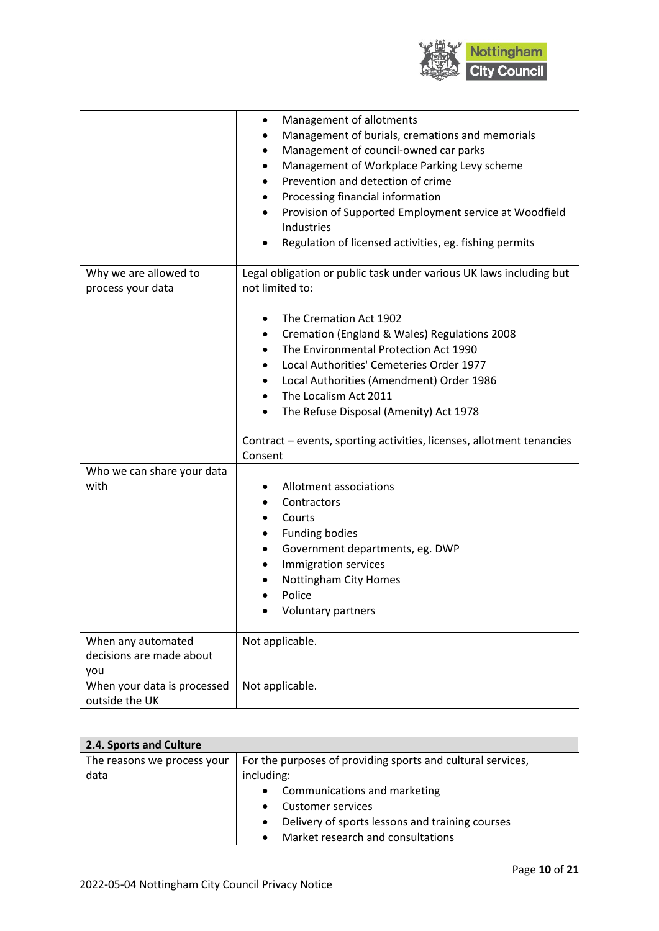

|                                                       | Management of allotments<br>Management of burials, cremations and memorials<br>Management of council-owned car parks<br>٠<br>Management of Workplace Parking Levy scheme<br>٠<br>Prevention and detection of crime<br>Processing financial information<br>٠<br>Provision of Supported Employment service at Woodfield<br>Industries<br>Regulation of licensed activities, eg. fishing permits |
|-------------------------------------------------------|-----------------------------------------------------------------------------------------------------------------------------------------------------------------------------------------------------------------------------------------------------------------------------------------------------------------------------------------------------------------------------------------------|
| Why we are allowed to<br>process your data            | Legal obligation or public task under various UK laws including but<br>not limited to:                                                                                                                                                                                                                                                                                                        |
|                                                       | The Cremation Act 1902<br>٠<br>Cremation (England & Wales) Regulations 2008<br>٠<br>The Environmental Protection Act 1990<br>٠<br>Local Authorities' Cemeteries Order 1977<br>Local Authorities (Amendment) Order 1986<br>$\bullet$<br>The Localism Act 2011<br>The Refuse Disposal (Amenity) Act 1978<br>Contract – events, sporting activities, licenses, allotment tenancies               |
|                                                       | Consent                                                                                                                                                                                                                                                                                                                                                                                       |
| Who we can share your data<br>with                    | Allotment associations<br>Contractors<br>Courts<br><b>Funding bodies</b><br>Government departments, eg. DWP<br>٠<br>Immigration services<br>٠<br>Nottingham City Homes<br>Police<br>Voluntary partners                                                                                                                                                                                        |
| When any automated<br>decisions are made about<br>you | Not applicable.                                                                                                                                                                                                                                                                                                                                                                               |
| When your data is processed<br>outside the UK         | Not applicable.                                                                                                                                                                                                                                                                                                                                                                               |

| 2.4. Sports and Culture     |                                                              |
|-----------------------------|--------------------------------------------------------------|
| The reasons we process your | For the purposes of providing sports and cultural services,  |
| data                        | including:                                                   |
|                             | • Communications and marketing                               |
|                             | <b>Customer services</b><br>$\bullet$                        |
|                             | Delivery of sports lessons and training courses<br>$\bullet$ |
|                             | Market research and consultations<br>$\bullet$               |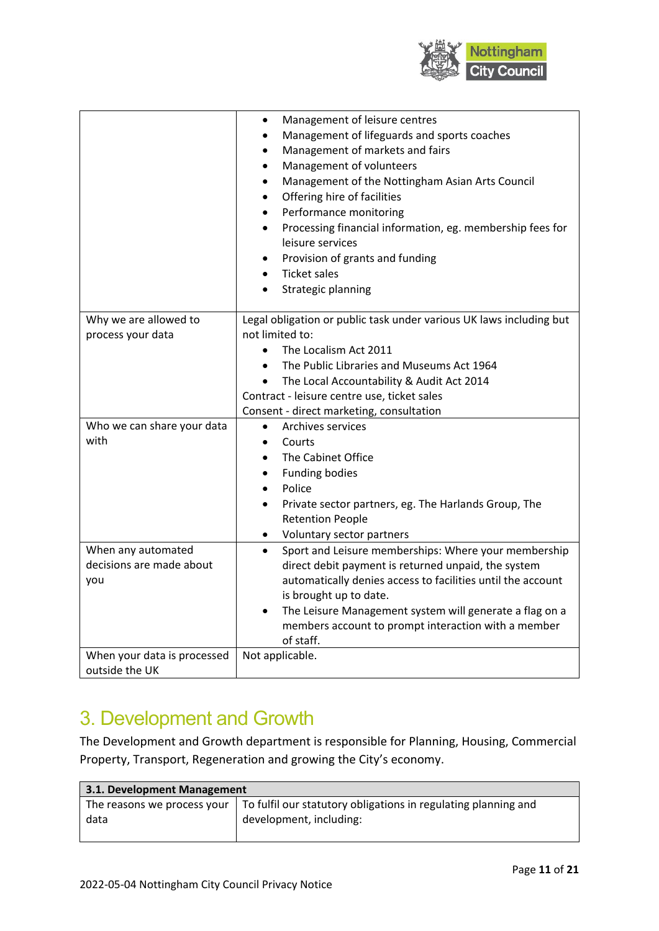

|                                                       | Management of leisure centres<br>Management of lifeguards and sports coaches<br>Management of markets and fairs<br>Management of volunteers<br>$\bullet$<br>Management of the Nottingham Asian Arts Council<br>Offering hire of facilities<br>Performance monitoring<br>Processing financial information, eg. membership fees for<br>٠<br>leisure services<br>Provision of grants and funding<br>٠<br><b>Ticket sales</b><br>Strategic planning |
|-------------------------------------------------------|-------------------------------------------------------------------------------------------------------------------------------------------------------------------------------------------------------------------------------------------------------------------------------------------------------------------------------------------------------------------------------------------------------------------------------------------------|
| Why we are allowed to<br>process your data            | Legal obligation or public task under various UK laws including but<br>not limited to:<br>The Localism Act 2011<br>$\bullet$<br>The Public Libraries and Museums Act 1964<br>$\bullet$<br>The Local Accountability & Audit Act 2014<br>$\bullet$<br>Contract - leisure centre use, ticket sales<br>Consent - direct marketing, consultation                                                                                                     |
| Who we can share your data<br>with                    | Archives services<br>$\bullet$<br>Courts<br>$\bullet$<br>The Cabinet Office<br><b>Funding bodies</b><br>$\bullet$<br>Police<br>Private sector partners, eg. The Harlands Group, The<br>$\bullet$<br><b>Retention People</b><br>Voluntary sector partners                                                                                                                                                                                        |
| When any automated<br>decisions are made about<br>you | Sport and Leisure memberships: Where your membership<br>direct debit payment is returned unpaid, the system<br>automatically denies access to facilities until the account<br>is brought up to date.<br>The Leisure Management system will generate a flag on a<br>members account to prompt interaction with a member<br>of staff.                                                                                                             |
| When your data is processed<br>outside the UK         | Not applicable.                                                                                                                                                                                                                                                                                                                                                                                                                                 |

## 3. Development and Growth

The Development and Growth department is responsible for Planning, Housing, Commercial Property, Transport, Regeneration and growing the City's economy.

| 3.1. Development Management |                                                                |
|-----------------------------|----------------------------------------------------------------|
| The reasons we process your | To fulfil our statutory obligations in regulating planning and |
| data                        | development, including:                                        |
|                             |                                                                |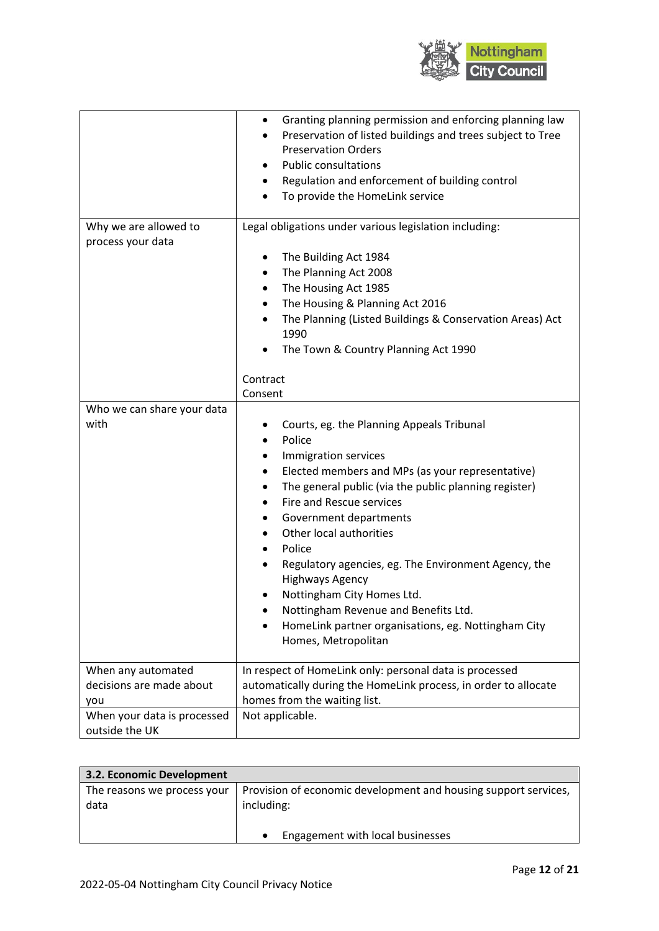

|                                                       | Granting planning permission and enforcing planning law<br>Preservation of listed buildings and trees subject to Tree<br><b>Preservation Orders</b><br><b>Public consultations</b><br>Regulation and enforcement of building control<br>To provide the HomeLink service                                                                                                                                                                                                                                                                   |
|-------------------------------------------------------|-------------------------------------------------------------------------------------------------------------------------------------------------------------------------------------------------------------------------------------------------------------------------------------------------------------------------------------------------------------------------------------------------------------------------------------------------------------------------------------------------------------------------------------------|
| Why we are allowed to<br>process your data            | Legal obligations under various legislation including:<br>The Building Act 1984<br>The Planning Act 2008<br>$\bullet$<br>The Housing Act 1985<br>$\bullet$<br>The Housing & Planning Act 2016<br>$\bullet$<br>The Planning (Listed Buildings & Conservation Areas) Act<br>1990<br>The Town & Country Planning Act 1990<br>Contract                                                                                                                                                                                                        |
| Who we can share your data<br>with                    | Consent<br>Courts, eg. the Planning Appeals Tribunal<br>Police<br>Immigration services<br>Elected members and MPs (as your representative)<br>٠<br>The general public (via the public planning register)<br>Fire and Rescue services<br>Government departments<br>Other local authorities<br>Police<br>Regulatory agencies, eg. The Environment Agency, the<br><b>Highways Agency</b><br>Nottingham City Homes Ltd.<br>Nottingham Revenue and Benefits Ltd.<br>HomeLink partner organisations, eg. Nottingham City<br>Homes, Metropolitan |
| When any automated<br>decisions are made about<br>you | In respect of HomeLink only: personal data is processed<br>automatically during the HomeLink process, in order to allocate<br>homes from the waiting list.                                                                                                                                                                                                                                                                                                                                                                                |
| When your data is processed<br>outside the UK         | Not applicable.                                                                                                                                                                                                                                                                                                                                                                                                                                                                                                                           |

| 3.2. Economic Development           |                                                                               |
|-------------------------------------|-------------------------------------------------------------------------------|
| The reasons we process your<br>data | Provision of economic development and housing support services,<br>including: |
|                                     | Engagement with local businesses<br>$\bullet$                                 |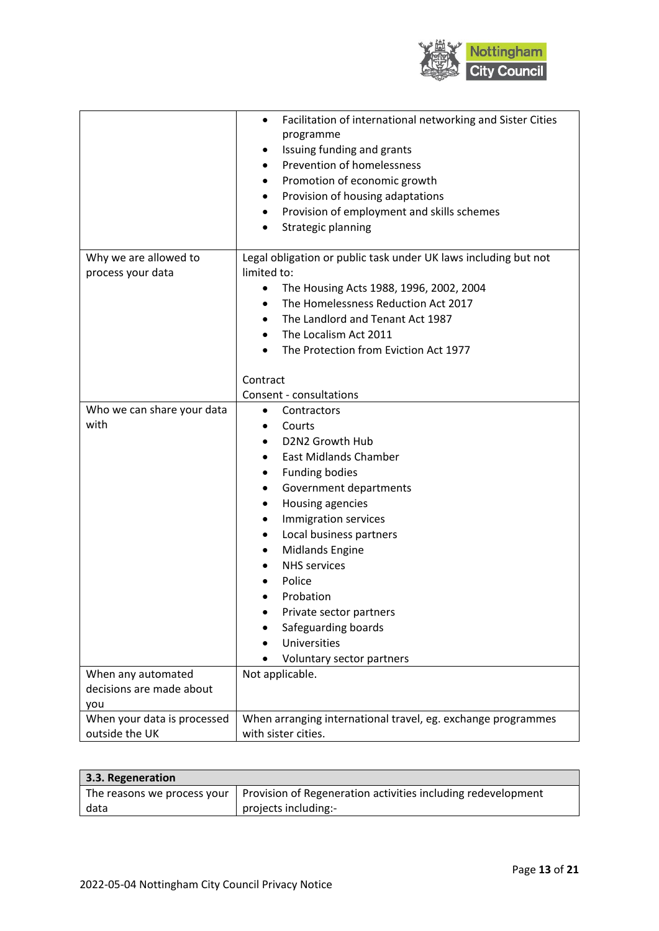

|                             | Facilitation of international networking and Sister Cities<br>programme<br>Issuing funding and grants<br>٠<br>Prevention of homelessness<br>$\bullet$<br>Promotion of economic growth<br>Provision of housing adaptations<br>٠<br>Provision of employment and skills schemes<br>٠<br>Strategic planning |
|-----------------------------|---------------------------------------------------------------------------------------------------------------------------------------------------------------------------------------------------------------------------------------------------------------------------------------------------------|
| Why we are allowed to       | Legal obligation or public task under UK laws including but not                                                                                                                                                                                                                                         |
| process your data           | limited to:                                                                                                                                                                                                                                                                                             |
|                             | The Housing Acts 1988, 1996, 2002, 2004<br>٠                                                                                                                                                                                                                                                            |
|                             | The Homelessness Reduction Act 2017<br>$\bullet$                                                                                                                                                                                                                                                        |
|                             | The Landlord and Tenant Act 1987<br>The Localism Act 2011                                                                                                                                                                                                                                               |
|                             | The Protection from Eviction Act 1977                                                                                                                                                                                                                                                                   |
|                             |                                                                                                                                                                                                                                                                                                         |
|                             | Contract                                                                                                                                                                                                                                                                                                |
|                             | Consent - consultations                                                                                                                                                                                                                                                                                 |
| Who we can share your data  | Contractors<br>$\bullet$                                                                                                                                                                                                                                                                                |
| with                        | Courts                                                                                                                                                                                                                                                                                                  |
|                             | D2N2 Growth Hub                                                                                                                                                                                                                                                                                         |
|                             | <b>East Midlands Chamber</b><br>$\bullet$                                                                                                                                                                                                                                                               |
|                             | <b>Funding bodies</b><br>٠                                                                                                                                                                                                                                                                              |
|                             | Government departments                                                                                                                                                                                                                                                                                  |
|                             | Housing agencies<br>٠                                                                                                                                                                                                                                                                                   |
|                             | Immigration services                                                                                                                                                                                                                                                                                    |
|                             | Local business partners<br>٠                                                                                                                                                                                                                                                                            |
|                             | <b>Midlands Engine</b><br>٠                                                                                                                                                                                                                                                                             |
|                             | <b>NHS</b> services                                                                                                                                                                                                                                                                                     |
|                             | Police                                                                                                                                                                                                                                                                                                  |
|                             | Probation                                                                                                                                                                                                                                                                                               |
|                             | Private sector partners                                                                                                                                                                                                                                                                                 |
|                             | Safeguarding boards                                                                                                                                                                                                                                                                                     |
|                             | Universities                                                                                                                                                                                                                                                                                            |
|                             | Voluntary sector partners                                                                                                                                                                                                                                                                               |
| When any automated          | Not applicable.                                                                                                                                                                                                                                                                                         |
| decisions are made about    |                                                                                                                                                                                                                                                                                                         |
| you                         |                                                                                                                                                                                                                                                                                                         |
| When your data is processed | When arranging international travel, eg. exchange programmes<br>with sister cities.                                                                                                                                                                                                                     |
| outside the UK              |                                                                                                                                                                                                                                                                                                         |

| 3.3. Regeneration |                                                                                            |
|-------------------|--------------------------------------------------------------------------------------------|
|                   | The reasons we process your   Provision of Regeneration activities including redevelopment |
| data              | projects including:-                                                                       |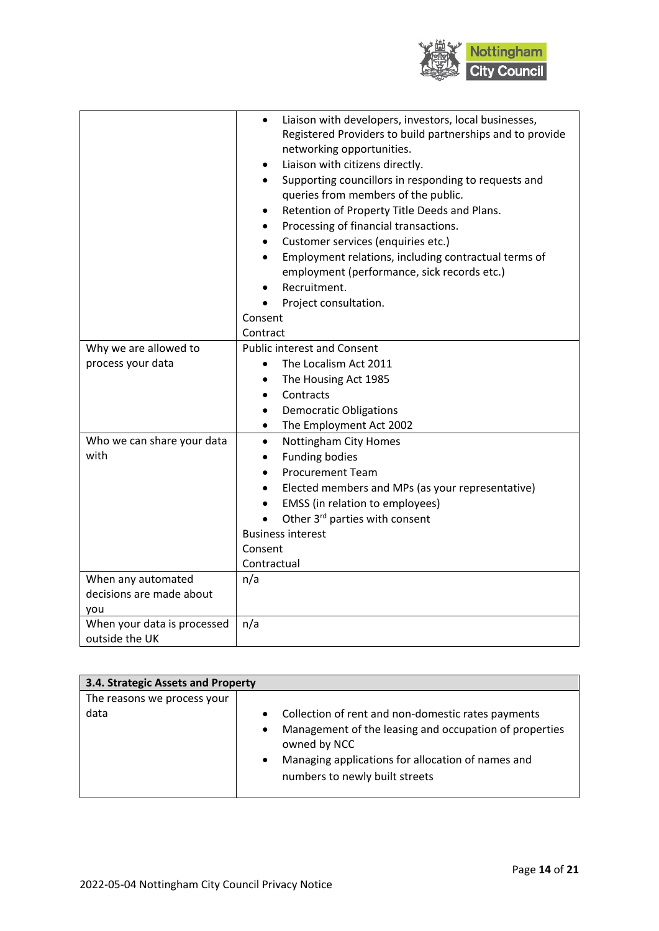

|                             | Liaison with developers, investors, local businesses,<br>Registered Providers to build partnerships and to provide<br>networking opportunities.<br>Liaison with citizens directly.<br>٠<br>Supporting councillors in responding to requests and<br>queries from members of the public.<br>Retention of Property Title Deeds and Plans.<br>Processing of financial transactions.<br>Customer services (enquiries etc.)<br>٠<br>Employment relations, including contractual terms of<br>employment (performance, sick records etc.)<br>Recruitment.<br>Project consultation.<br>Consent<br>Contract |
|-----------------------------|---------------------------------------------------------------------------------------------------------------------------------------------------------------------------------------------------------------------------------------------------------------------------------------------------------------------------------------------------------------------------------------------------------------------------------------------------------------------------------------------------------------------------------------------------------------------------------------------------|
| Why we are allowed to       | <b>Public interest and Consent</b>                                                                                                                                                                                                                                                                                                                                                                                                                                                                                                                                                                |
| process your data           | The Localism Act 2011                                                                                                                                                                                                                                                                                                                                                                                                                                                                                                                                                                             |
|                             | The Housing Act 1985                                                                                                                                                                                                                                                                                                                                                                                                                                                                                                                                                                              |
|                             | Contracts                                                                                                                                                                                                                                                                                                                                                                                                                                                                                                                                                                                         |
|                             | <b>Democratic Obligations</b><br>$\bullet$                                                                                                                                                                                                                                                                                                                                                                                                                                                                                                                                                        |
|                             | The Employment Act 2002<br>$\bullet$                                                                                                                                                                                                                                                                                                                                                                                                                                                                                                                                                              |
| Who we can share your data  | Nottingham City Homes<br>$\bullet$                                                                                                                                                                                                                                                                                                                                                                                                                                                                                                                                                                |
| with                        | <b>Funding bodies</b><br>$\bullet$                                                                                                                                                                                                                                                                                                                                                                                                                                                                                                                                                                |
|                             | <b>Procurement Team</b>                                                                                                                                                                                                                                                                                                                                                                                                                                                                                                                                                                           |
|                             | Elected members and MPs (as your representative)                                                                                                                                                                                                                                                                                                                                                                                                                                                                                                                                                  |
|                             | EMSS (in relation to employees)                                                                                                                                                                                                                                                                                                                                                                                                                                                                                                                                                                   |
|                             | Other 3rd parties with consent                                                                                                                                                                                                                                                                                                                                                                                                                                                                                                                                                                    |
|                             | <b>Business interest</b>                                                                                                                                                                                                                                                                                                                                                                                                                                                                                                                                                                          |
|                             | Consent                                                                                                                                                                                                                                                                                                                                                                                                                                                                                                                                                                                           |
|                             | Contractual                                                                                                                                                                                                                                                                                                                                                                                                                                                                                                                                                                                       |
| When any automated          | n/a                                                                                                                                                                                                                                                                                                                                                                                                                                                                                                                                                                                               |
| decisions are made about    |                                                                                                                                                                                                                                                                                                                                                                                                                                                                                                                                                                                                   |
| you                         |                                                                                                                                                                                                                                                                                                                                                                                                                                                                                                                                                                                                   |
| When your data is processed | n/a                                                                                                                                                                                                                                                                                                                                                                                                                                                                                                                                                                                               |
| outside the UK              |                                                                                                                                                                                                                                                                                                                                                                                                                                                                                                                                                                                                   |

| 3.4. Strategic Assets and Property  |                                                                                                                                                                                                                                                            |  |
|-------------------------------------|------------------------------------------------------------------------------------------------------------------------------------------------------------------------------------------------------------------------------------------------------------|--|
| The reasons we process your<br>data | Collection of rent and non-domestic rates payments<br>$\bullet$<br>Management of the leasing and occupation of properties<br>$\bullet$<br>owned by NCC<br>Managing applications for allocation of names and<br>$\bullet$<br>numbers to newly built streets |  |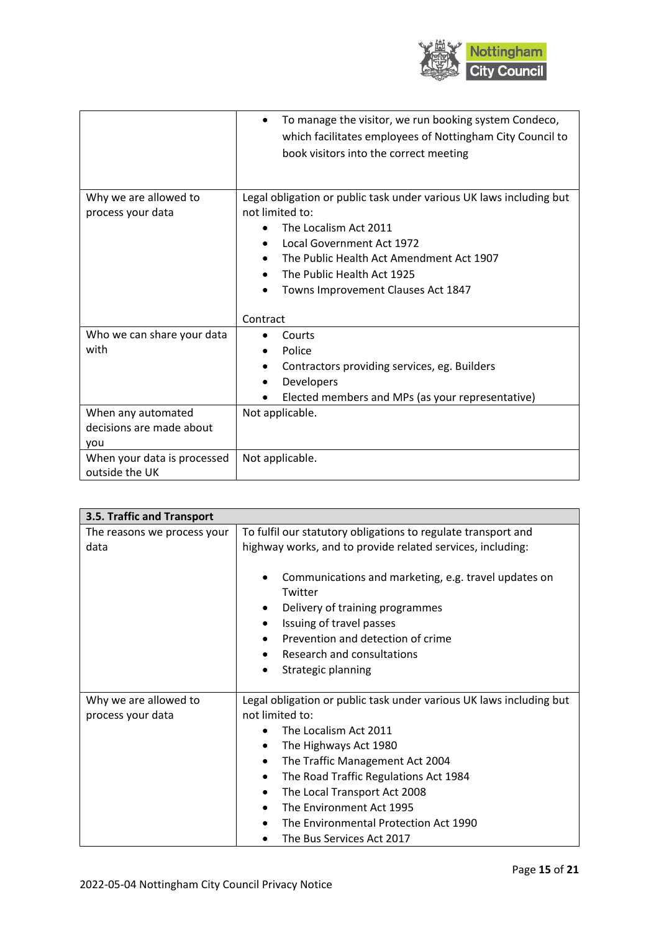

|                                                       | To manage the visitor, we run booking system Condeco,<br>which facilitates employees of Nottingham City Council to<br>book visitors into the correct meeting                                                                                                              |
|-------------------------------------------------------|---------------------------------------------------------------------------------------------------------------------------------------------------------------------------------------------------------------------------------------------------------------------------|
| Why we are allowed to<br>process your data            | Legal obligation or public task under various UK laws including but<br>not limited to:<br>The Localism Act 2011<br>Local Government Act 1972<br>$\bullet$<br>The Public Health Act Amendment Act 1907<br>The Public Health Act 1925<br>Towns Improvement Clauses Act 1847 |
|                                                       | Contract                                                                                                                                                                                                                                                                  |
| Who we can share your data<br>with                    | Courts<br>Police<br>Contractors providing services, eg. Builders<br>Developers<br>Elected members and MPs (as your representative)                                                                                                                                        |
| When any automated<br>decisions are made about<br>you | Not applicable.                                                                                                                                                                                                                                                           |
| When your data is processed<br>outside the UK         | Not applicable.                                                                                                                                                                                                                                                           |

| 3.5. Traffic and Transport  |                                                                                                                                                                                                                                           |  |
|-----------------------------|-------------------------------------------------------------------------------------------------------------------------------------------------------------------------------------------------------------------------------------------|--|
| The reasons we process your | To fulfil our statutory obligations to regulate transport and                                                                                                                                                                             |  |
| data                        | highway works, and to provide related services, including:                                                                                                                                                                                |  |
|                             | Communications and marketing, e.g. travel updates on<br>Twitter<br>Delivery of training programmes<br>٠<br>Issuing of travel passes<br>Prevention and detection of crime<br>Research and consultations<br>$\bullet$<br>Strategic planning |  |
| Why we are allowed to       | Legal obligation or public task under various UK laws including but                                                                                                                                                                       |  |
| process your data           | not limited to:                                                                                                                                                                                                                           |  |
|                             | The Localism Act 2011                                                                                                                                                                                                                     |  |
|                             | The Highways Act 1980<br>$\bullet$                                                                                                                                                                                                        |  |
|                             | The Traffic Management Act 2004<br>$\bullet$                                                                                                                                                                                              |  |
|                             | The Road Traffic Regulations Act 1984<br>$\bullet$                                                                                                                                                                                        |  |
|                             | The Local Transport Act 2008<br>٠                                                                                                                                                                                                         |  |
|                             | The Environment Act 1995<br>$\bullet$                                                                                                                                                                                                     |  |
|                             | The Environmental Protection Act 1990                                                                                                                                                                                                     |  |
|                             | The Bus Services Act 2017                                                                                                                                                                                                                 |  |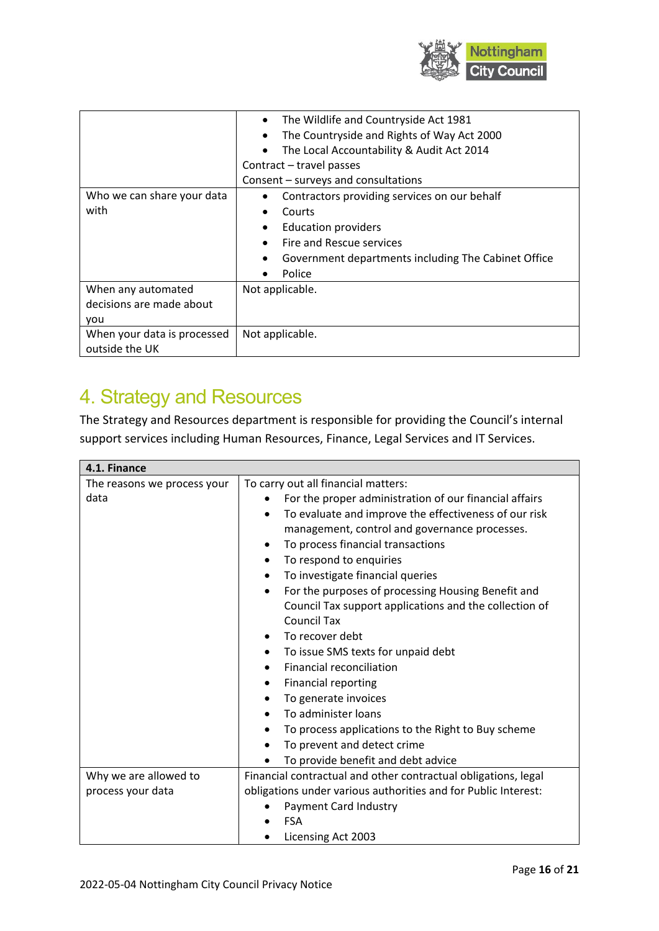

|                                                       | The Wildlife and Countryside Act 1981<br>$\bullet$<br>The Countryside and Rights of Way Act 2000<br>٠<br>The Local Accountability & Audit Act 2014<br>Contract - travel passes<br>Consent - surveys and consultations |
|-------------------------------------------------------|-----------------------------------------------------------------------------------------------------------------------------------------------------------------------------------------------------------------------|
| Who we can share your data<br>with                    | Contractors providing services on our behalf<br>Courts<br><b>Education providers</b><br>Fire and Rescue services<br>Government departments including The Cabinet Office<br>Police                                     |
| When any automated<br>decisions are made about<br>you | Not applicable.                                                                                                                                                                                                       |
| When your data is processed<br>outside the UK         | Not applicable.                                                                                                                                                                                                       |

# 4. Strategy and Resources

The Strategy and Resources department is responsible for providing the Council's internal support services including Human Resources, Finance, Legal Services and IT Services.

| 4.1. Finance                |                                                                                                                                                                                                                                                                                                                                                                                                                                                                                                                                                                                                                                                                                                                                        |
|-----------------------------|----------------------------------------------------------------------------------------------------------------------------------------------------------------------------------------------------------------------------------------------------------------------------------------------------------------------------------------------------------------------------------------------------------------------------------------------------------------------------------------------------------------------------------------------------------------------------------------------------------------------------------------------------------------------------------------------------------------------------------------|
| The reasons we process your | To carry out all financial matters:                                                                                                                                                                                                                                                                                                                                                                                                                                                                                                                                                                                                                                                                                                    |
| data                        | For the proper administration of our financial affairs<br>To evaluate and improve the effectiveness of our risk<br>management, control and governance processes.<br>To process financial transactions<br>To respond to enquiries<br>To investigate financial queries<br>For the purposes of processing Housing Benefit and<br>$\bullet$<br>Council Tax support applications and the collection of<br><b>Council Tax</b><br>To recover debt<br>To issue SMS texts for unpaid debt<br>$\bullet$<br><b>Financial reconciliation</b><br><b>Financial reporting</b><br>$\bullet$<br>To generate invoices<br>٠<br>To administer loans<br>To process applications to the Right to Buy scheme<br>٠<br>To prevent and detect crime<br>$\bullet$ |
|                             | To provide benefit and debt advice                                                                                                                                                                                                                                                                                                                                                                                                                                                                                                                                                                                                                                                                                                     |
| Why we are allowed to       | Financial contractual and other contractual obligations, legal                                                                                                                                                                                                                                                                                                                                                                                                                                                                                                                                                                                                                                                                         |
| process your data           | obligations under various authorities and for Public Interest:                                                                                                                                                                                                                                                                                                                                                                                                                                                                                                                                                                                                                                                                         |
|                             | Payment Card Industry                                                                                                                                                                                                                                                                                                                                                                                                                                                                                                                                                                                                                                                                                                                  |
|                             | <b>FSA</b>                                                                                                                                                                                                                                                                                                                                                                                                                                                                                                                                                                                                                                                                                                                             |
|                             | Licensing Act 2003                                                                                                                                                                                                                                                                                                                                                                                                                                                                                                                                                                                                                                                                                                                     |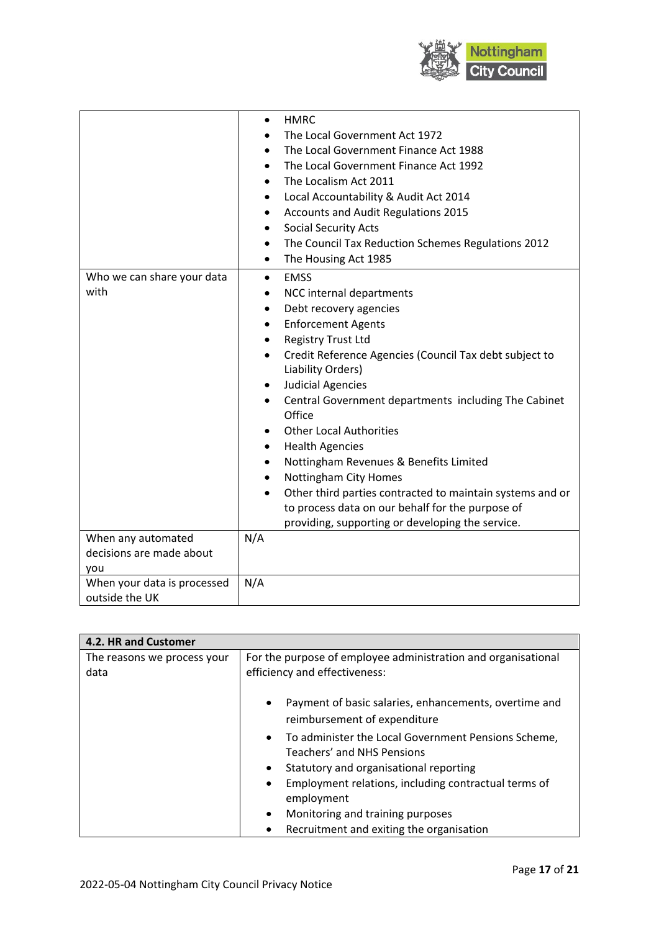

|                                    | <b>HMRC</b><br>$\bullet$<br>The Local Government Act 1972<br>The Local Government Finance Act 1988<br>The Local Government Finance Act 1992<br>$\bullet$<br>The Localism Act 2011<br>$\bullet$<br>Local Accountability & Audit Act 2014<br>$\bullet$<br>Accounts and Audit Regulations 2015<br>٠<br><b>Social Security Acts</b><br>$\bullet$<br>The Council Tax Reduction Schemes Regulations 2012<br>$\bullet$                                                                                                                                                                                                                                                                                                                                                         |
|------------------------------------|-------------------------------------------------------------------------------------------------------------------------------------------------------------------------------------------------------------------------------------------------------------------------------------------------------------------------------------------------------------------------------------------------------------------------------------------------------------------------------------------------------------------------------------------------------------------------------------------------------------------------------------------------------------------------------------------------------------------------------------------------------------------------|
|                                    | The Housing Act 1985<br>$\bullet$                                                                                                                                                                                                                                                                                                                                                                                                                                                                                                                                                                                                                                                                                                                                       |
| Who we can share your data<br>with | <b>EMSS</b><br>$\bullet$<br>NCC internal departments<br>Debt recovery agencies<br>$\bullet$<br><b>Enforcement Agents</b><br>$\bullet$<br><b>Registry Trust Ltd</b><br>$\bullet$<br>Credit Reference Agencies (Council Tax debt subject to<br>$\bullet$<br>Liability Orders)<br><b>Judicial Agencies</b><br>$\bullet$<br>Central Government departments including The Cabinet<br>$\bullet$<br>Office<br><b>Other Local Authorities</b><br>٠<br><b>Health Agencies</b><br>$\bullet$<br>Nottingham Revenues & Benefits Limited<br>$\bullet$<br><b>Nottingham City Homes</b><br>$\bullet$<br>Other third parties contracted to maintain systems and or<br>$\bullet$<br>to process data on our behalf for the purpose of<br>providing, supporting or developing the service. |
| When any automated                 | N/A                                                                                                                                                                                                                                                                                                                                                                                                                                                                                                                                                                                                                                                                                                                                                                     |
| decisions are made about           |                                                                                                                                                                                                                                                                                                                                                                                                                                                                                                                                                                                                                                                                                                                                                                         |
| you                                |                                                                                                                                                                                                                                                                                                                                                                                                                                                                                                                                                                                                                                                                                                                                                                         |
| When your data is processed        | N/A                                                                                                                                                                                                                                                                                                                                                                                                                                                                                                                                                                                                                                                                                                                                                                     |
| outside the UK                     |                                                                                                                                                                                                                                                                                                                                                                                                                                                                                                                                                                                                                                                                                                                                                                         |

| 4.2. HR and Customer                |                                                                                                    |
|-------------------------------------|----------------------------------------------------------------------------------------------------|
| The reasons we process your<br>data | For the purpose of employee administration and organisational<br>efficiency and effectiveness:     |
|                                     | Payment of basic salaries, enhancements, overtime and<br>$\bullet$<br>reimbursement of expenditure |
|                                     | To administer the Local Government Pensions Scheme,<br>$\bullet$<br>Teachers' and NHS Pensions     |
|                                     | Statutory and organisational reporting<br>$\bullet$                                                |
|                                     | Employment relations, including contractual terms of<br>$\bullet$<br>employment                    |
|                                     | Monitoring and training purposes<br>$\bullet$                                                      |
|                                     | Recruitment and exiting the organisation<br>٠                                                      |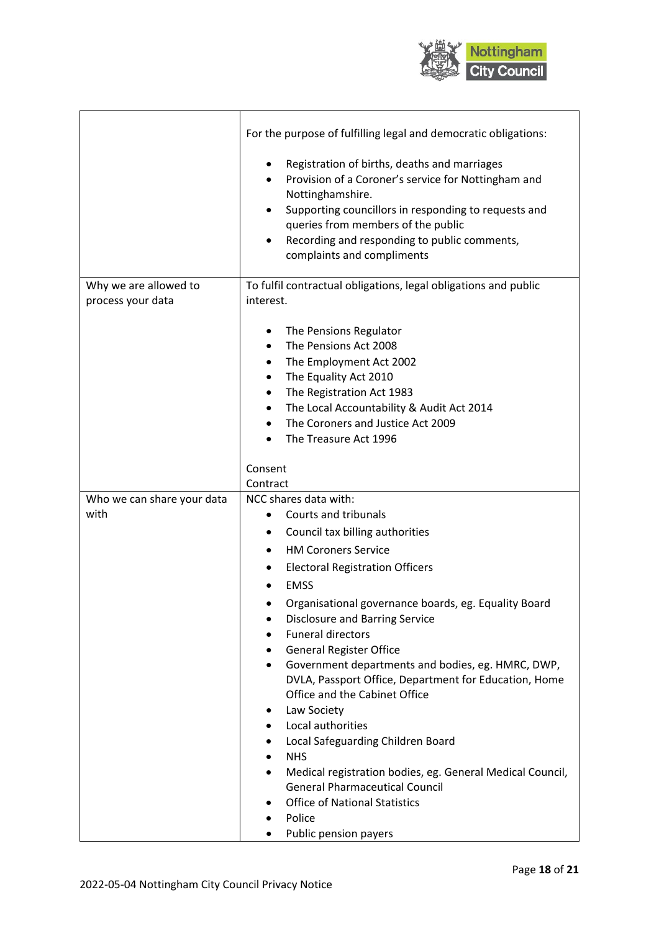

٦

|                                            | For the purpose of fulfilling legal and democratic obligations:                                                                                                                                                                                                                                                                                                                                                                                                                                                                                                                                                                                                                                                                                        |
|--------------------------------------------|--------------------------------------------------------------------------------------------------------------------------------------------------------------------------------------------------------------------------------------------------------------------------------------------------------------------------------------------------------------------------------------------------------------------------------------------------------------------------------------------------------------------------------------------------------------------------------------------------------------------------------------------------------------------------------------------------------------------------------------------------------|
|                                            | Registration of births, deaths and marriages<br>٠<br>Provision of a Coroner's service for Nottingham and<br>Nottinghamshire.<br>Supporting councillors in responding to requests and<br>queries from members of the public<br>Recording and responding to public comments,<br>complaints and compliments                                                                                                                                                                                                                                                                                                                                                                                                                                               |
| Why we are allowed to<br>process your data | To fulfil contractual obligations, legal obligations and public<br>interest.                                                                                                                                                                                                                                                                                                                                                                                                                                                                                                                                                                                                                                                                           |
|                                            | The Pensions Regulator<br>٠<br>The Pensions Act 2008<br>$\bullet$<br>The Employment Act 2002<br>$\bullet$<br>The Equality Act 2010<br>٠<br>The Registration Act 1983<br>The Local Accountability & Audit Act 2014<br>$\bullet$<br>The Coroners and Justice Act 2009<br>The Treasure Act 1996                                                                                                                                                                                                                                                                                                                                                                                                                                                           |
|                                            | Consent<br>Contract                                                                                                                                                                                                                                                                                                                                                                                                                                                                                                                                                                                                                                                                                                                                    |
| Who we can share your data<br>with         | NCC shares data with:<br>Courts and tribunals<br>٠<br>Council tax billing authorities<br><b>HM Coroners Service</b><br><b>Electoral Registration Officers</b><br><b>EMSS</b><br>Organisational governance boards, eg. Equality Board<br><b>Disclosure and Barring Service</b><br><b>Funeral directors</b><br><b>General Register Office</b><br>Government departments and bodies, eg. HMRC, DWP,<br>$\bullet$<br>DVLA, Passport Office, Department for Education, Home<br>Office and the Cabinet Office<br>Law Society<br>Local authorities<br>Local Safeguarding Children Board<br><b>NHS</b><br>Medical registration bodies, eg. General Medical Council,<br><b>General Pharmaceutical Council</b><br><b>Office of National Statistics</b><br>Police |
|                                            | Public pension payers                                                                                                                                                                                                                                                                                                                                                                                                                                                                                                                                                                                                                                                                                                                                  |

 $\mathbf{r}$ 

T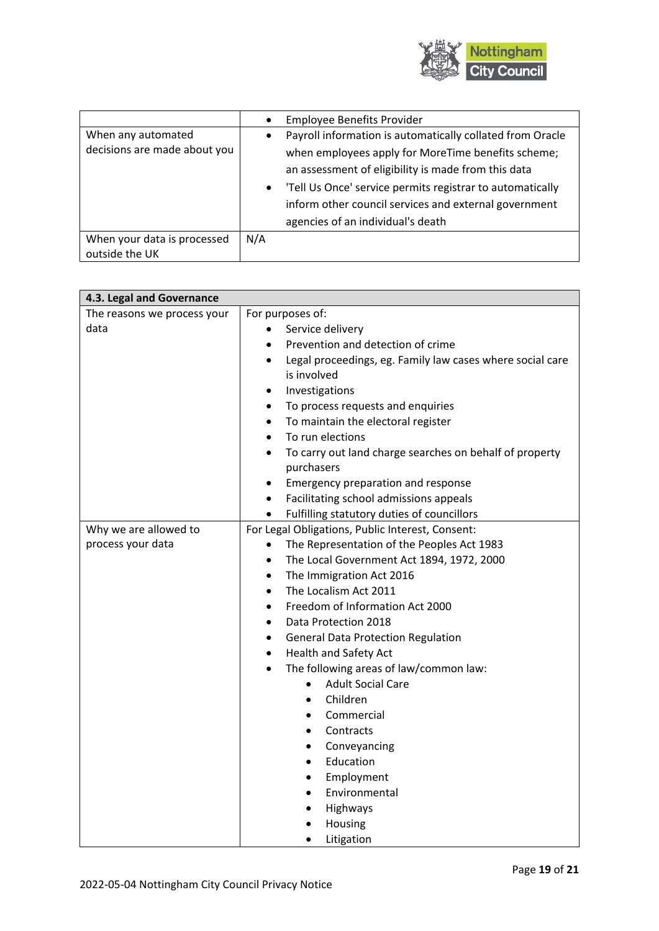

|                                                    | <b>Employee Benefits Provider</b>                                                                                                                                                                                           |
|----------------------------------------------------|-----------------------------------------------------------------------------------------------------------------------------------------------------------------------------------------------------------------------------|
| When any automated<br>decisions are made about you | Payroll information is automatically collated from Oracle<br>٠<br>when employees apply for MoreTime benefits scheme;                                                                                                        |
|                                                    | an assessment of eligibility is made from this data<br>'Tell Us Once' service permits registrar to automatically<br>$\bullet$<br>inform other council services and external government<br>agencies of an individual's death |
| When your data is processed<br>outside the UK      | N/A                                                                                                                                                                                                                         |

| 4.3. Legal and Governance   |                                                           |
|-----------------------------|-----------------------------------------------------------|
| The reasons we process your | For purposes of:                                          |
| data                        | Service delivery                                          |
|                             | Prevention and detection of crime                         |
|                             | Legal proceedings, eg. Family law cases where social care |
|                             | is involved                                               |
|                             | Investigations                                            |
|                             | To process requests and enquiries                         |
|                             | To maintain the electoral register                        |
|                             | To run elections                                          |
|                             | To carry out land charge searches on behalf of property   |
|                             | purchasers                                                |
|                             | Emergency preparation and response                        |
|                             | Facilitating school admissions appeals                    |
|                             | Fulfilling statutory duties of councillors                |
| Why we are allowed to       | For Legal Obligations, Public Interest, Consent:          |
| process your data           | The Representation of the Peoples Act 1983<br>$\bullet$   |
|                             | The Local Government Act 1894, 1972, 2000                 |
|                             | The Immigration Act 2016<br>$\bullet$                     |
|                             | The Localism Act 2011<br>$\bullet$                        |
|                             | Freedom of Information Act 2000<br>$\bullet$              |
|                             | Data Protection 2018<br>$\bullet$                         |
|                             | <b>General Data Protection Regulation</b><br>$\bullet$    |
|                             | Health and Safety Act<br>$\bullet$                        |
|                             | The following areas of law/common law:<br>$\bullet$       |
|                             | <b>Adult Social Care</b>                                  |
|                             | Children                                                  |
|                             | Commercial                                                |
|                             | Contracts                                                 |
|                             | Conveyancing                                              |
|                             | Education                                                 |
|                             | Employment                                                |
|                             | Environmental                                             |
|                             | Highways                                                  |
|                             | Housing                                                   |
|                             | Litigation                                                |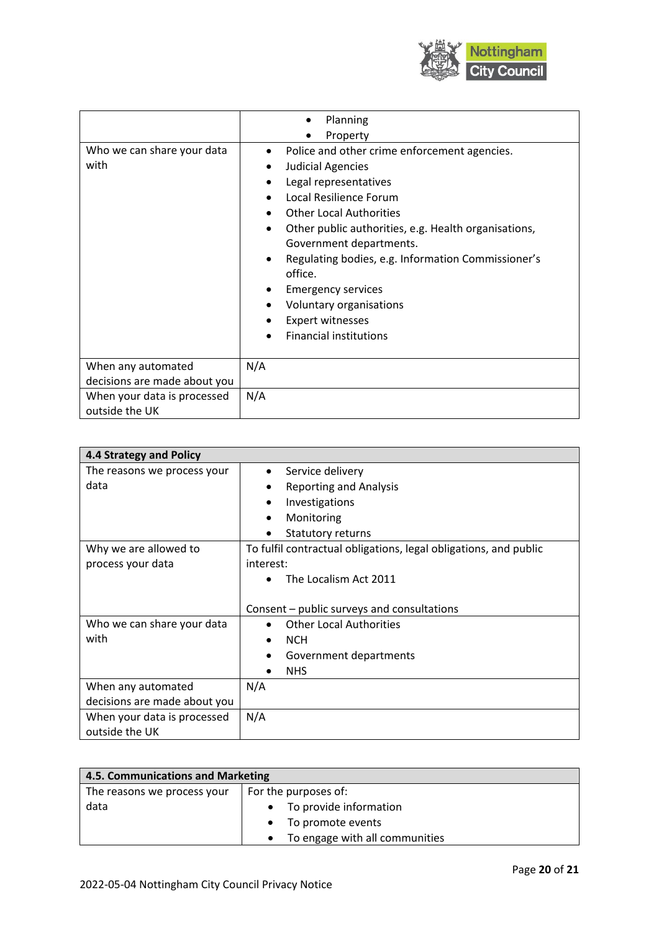

|                                               | Planning                                                                                                                                                                                                                                                                                                                                                                                                                                    |
|-----------------------------------------------|---------------------------------------------------------------------------------------------------------------------------------------------------------------------------------------------------------------------------------------------------------------------------------------------------------------------------------------------------------------------------------------------------------------------------------------------|
|                                               | Property                                                                                                                                                                                                                                                                                                                                                                                                                                    |
| Who we can share your data<br>with            | Police and other crime enforcement agencies.<br>$\bullet$<br>Judicial Agencies<br>Legal representatives<br>Local Resilience Forum<br><b>Other Local Authorities</b><br>Other public authorities, e.g. Health organisations,<br>Government departments.<br>Regulating bodies, e.g. Information Commissioner's<br>office.<br><b>Emergency services</b><br>Voluntary organisations<br><b>Expert witnesses</b><br><b>Financial institutions</b> |
| When any automated                            | N/A                                                                                                                                                                                                                                                                                                                                                                                                                                         |
| decisions are made about you                  |                                                                                                                                                                                                                                                                                                                                                                                                                                             |
| When your data is processed<br>outside the UK | N/A                                                                                                                                                                                                                                                                                                                                                                                                                                         |

| 4.4 Strategy and Policy      |                                                                  |
|------------------------------|------------------------------------------------------------------|
| The reasons we process your  | Service delivery<br>$\bullet$                                    |
| data                         | <b>Reporting and Analysis</b>                                    |
|                              | Investigations                                                   |
|                              | Monitoring                                                       |
|                              | Statutory returns<br>$\bullet$                                   |
| Why we are allowed to        | To fulfil contractual obligations, legal obligations, and public |
| process your data            | interest:                                                        |
|                              | The Localism Act 2011                                            |
|                              |                                                                  |
|                              | Consent – public surveys and consultations                       |
| Who we can share your data   | <b>Other Local Authorities</b><br>$\bullet$                      |
| with                         | <b>NCH</b><br>$\bullet$                                          |
|                              | Government departments<br>$\bullet$                              |
|                              | <b>NHS</b><br>$\bullet$                                          |
| When any automated           | N/A                                                              |
| decisions are made about you |                                                                  |
| When your data is processed  | N/A                                                              |
| outside the UK               |                                                                  |

| 4.5. Communications and Marketing |                                |
|-----------------------------------|--------------------------------|
| The reasons we process your       | For the purposes of:           |
| data                              | To provide information         |
|                                   | To promote events              |
|                                   | To engage with all communities |